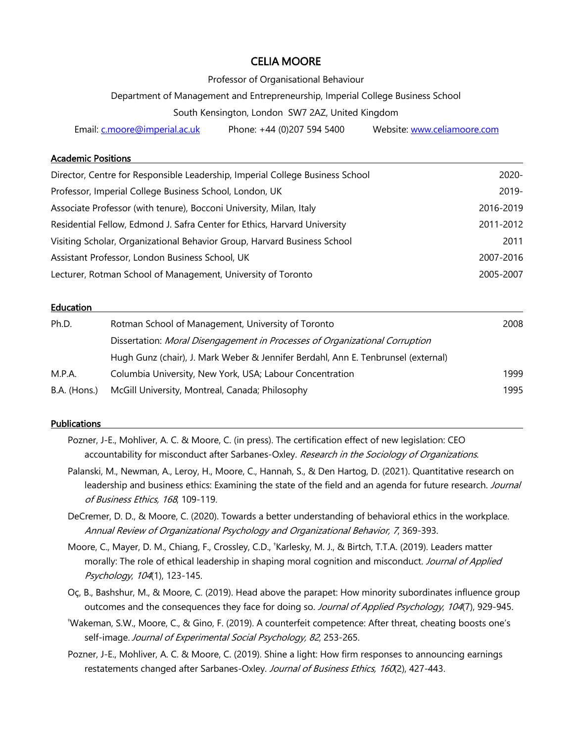# CELIA MOORE

Professor of Organisational Behaviour

Department of Management and Entrepreneurship, Imperial College Business School

South Kensington, London SW7 2AZ, United Kingdom

Email: c.moore@imperial.ac.uk Phone: +44 (0)207 594 5400 Website: www.celiamoore.com

#### Academic Positions

| Director, Centre for Responsible Leadership, Imperial College Business School | $2020 -$  |
|-------------------------------------------------------------------------------|-----------|
| Professor, Imperial College Business School, London, UK                       | $2019 -$  |
| Associate Professor (with tenure), Bocconi University, Milan, Italy           | 2016-2019 |
| Residential Fellow, Edmond J. Safra Center for Ethics, Harvard University     | 2011-2012 |
| Visiting Scholar, Organizational Behavior Group, Harvard Business School      | 2011      |
| Assistant Professor, London Business School, UK                               | 2007-2016 |
| Lecturer, Rotman School of Management, University of Toronto                  | 2005-2007 |

#### **Education**

| Ph.D.        | Rotman School of Management, University of Toronto                                | 2008 |
|--------------|-----------------------------------------------------------------------------------|------|
|              | Dissertation: Moral Disengagement in Processes of Organizational Corruption       |      |
|              | Hugh Gunz (chair), J. Mark Weber & Jennifer Berdahl, Ann E. Tenbrunsel (external) |      |
| M.P.A.       | Columbia University, New York, USA; Labour Concentration                          | 1999 |
| B.A. (Hons.) | McGill University, Montreal, Canada; Philosophy                                   | 1995 |

#### **Publications**

Pozner, J-E., Mohliver, A. C. & Moore, C. (in press). The certification effect of new legislation: CEO accountability for misconduct after Sarbanes-Oxley. Research in the Sociology of Organizations.

- Palanski, M., Newman, A., Leroy, H., Moore, C., Hannah, S., & Den Hartog, D. (2021). Quantitative research on leadership and business ethics: Examining the state of the field and an agenda for future research. Journal of Business Ethics, 168, 109-119.
- DeCremer, D. D., & Moore, C. (2020). Towards a better understanding of behavioral ethics in the workplace. Annual Review of Organizational Psychology and Organizational Behavior, 7, 369-393.
- Moore, C., Mayer, D. M., Chiang, F., Crossley, C.D., <sup>†</sup>Karlesky, M. J., & Birtch, T.T.A. (2019). Leaders matter morally: The role of ethical leadership in shaping moral cognition and misconduct. Journal of Applied Psychology, 104(1), 123-145.
- Oç, B., Bashshur, M., & Moore, C. (2019). Head above the parapet: How minority subordinates influence group outcomes and the consequences they face for doing so. Journal of Applied Psychology, 104(7), 929-945.
- † Wakeman, S.W., Moore, C., & Gino, F. (2019). A counterfeit competence: After threat, cheating boosts one's self-image. Journal of Experimental Social Psychology, 82, 253-265.
- Pozner, J-E., Mohliver, A. C. & Moore, C. (2019). Shine a light: How firm responses to announcing earnings restatements changed after Sarbanes-Oxley. Journal of Business Ethics, 160(2), 427-443.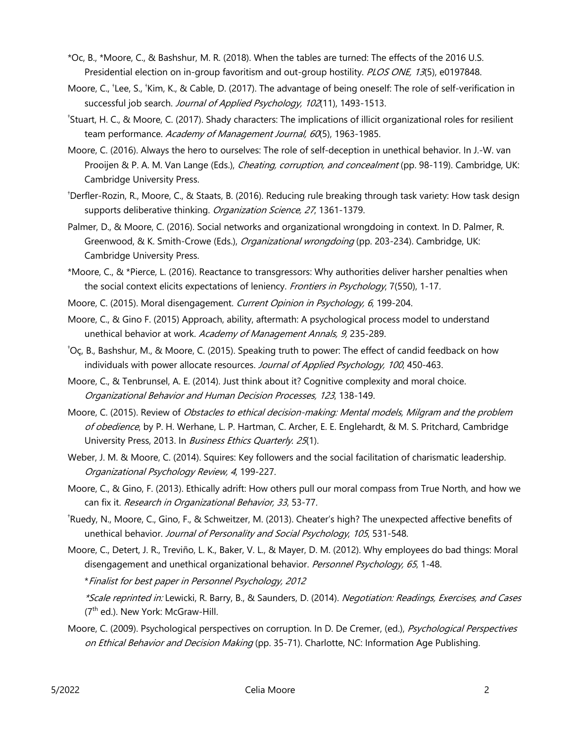- \*Oc, B., \*Moore, C., & Bashshur, M. R. (2018). When the tables are turned: The effects of the 2016 U.S. Presidential election on in-group favoritism and out-group hostility. PLOS ONE, 13(5), e0197848.
- Moore, C., <sup>+</sup>Lee, S., <sup>+</sup>Kim, K., & Cable, D. (2017). The advantage of being oneself: The role of self-verification in successful job search. Journal of Applied Psychology, 102(11), 1493-1513.
- † Stuart, H. C., & Moore, C. (2017). Shady characters: The implications of illicit organizational roles for resilient team performance. Academy of Management Journal, 60(5), 1963-1985.
- Moore, C. (2016). Always the hero to ourselves: The role of self-deception in unethical behavior. In J.-W. van Prooijen & P. A. M. Van Lange (Eds.), *Cheating, corruption, and concealment* (pp. 98-119). Cambridge, UK: Cambridge University Press.
- † Derfler-Rozin, R., Moore, C., & Staats, B. (2016). Reducing rule breaking through task variety: How task design supports deliberative thinking. Organization Science, 27, 1361-1379.
- Palmer, D., & Moore, C. (2016). Social networks and organizational wrongdoing in context. In D. Palmer, R. Greenwood, & K. Smith-Crowe (Eds.), Organizational wrongdoing (pp. 203-234). Cambridge, UK: Cambridge University Press.
- \*Moore, C., & \*Pierce, L. (2016). Reactance to transgressors: Why authorities deliver harsher penalties when the social context elicits expectations of leniency. Frontiers in Psychology, 7(550), 1-17.
- Moore, C. (2015). Moral disengagement. Current Opinion in Psychology, 6, 199-204.
- Moore, C., & Gino F. (2015) Approach, ability, aftermath: A psychological process model to understand unethical behavior at work. Academy of Management Annals, 9, 235-289.
- † Oç, B., Bashshur, M., & Moore, C. (2015). Speaking truth to power: The effect of candid feedback on how individuals with power allocate resources. Journal of Applied Psychology, 100, 450-463.
- Moore, C., & Tenbrunsel, A. E. (2014). Just think about it? Cognitive complexity and moral choice. Organizational Behavior and Human Decision Processes, 123, 138-149.
- Moore, C. (2015). Review of Obstacles to ethical decision-making: Mental models, Milgram and the problem of obedience, by P. H. Werhane, L. P. Hartman, C. Archer, E. E. Englehardt, & M. S. Pritchard, Cambridge University Press, 2013. In *Business Ethics Quarterly. 25*(1).
- Weber, J. M. & Moore, C. (2014). Squires: Key followers and the social facilitation of charismatic leadership. Organizational Psychology Review, 4, 199-227.
- Moore, C., & Gino, F. (2013). Ethically adrift: How others pull our moral compass from True North, and how we can fix it. Research in Organizational Behavior, 33, 53-77.
- † Ruedy, N., Moore, C., Gino, F., & Schweitzer, M. (2013). Cheater's high? The unexpected affective benefits of unethical behavior. Journal of Personality and Social Psychology, 105, 531-548.
- Moore, C., Detert, J. R., Treviño, L. K., Baker, V. L., & Mayer, D. M. (2012). Why employees do bad things: Moral disengagement and unethical organizational behavior. Personnel Psychology, 65, 1-48.

\*Finalist for best paper in Personnel Psychology, 2012

\*Scale reprinted in: Lewicki, R. Barry, B., & Saunders, D. (2014). Negotiation: Readings, Exercises, and Cases (7<sup>th</sup> ed.). New York: McGraw-Hill.

Moore, C. (2009). Psychological perspectives on corruption. In D. De Cremer, (ed.), Psychological Perspectives on Ethical Behavior and Decision Making (pp. 35-71). Charlotte, NC: Information Age Publishing.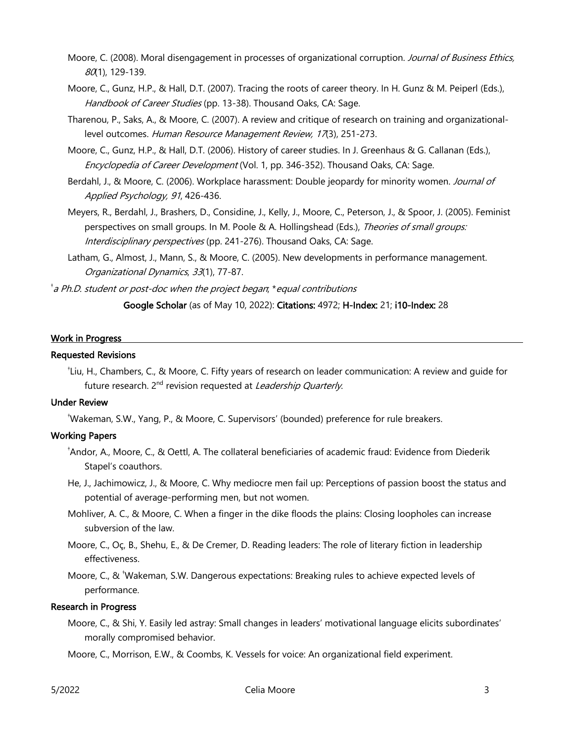- Moore, C. (2008). Moral disengagement in processes of organizational corruption. Journal of Business Ethics, 80(1), 129-139.
- Moore, C., Gunz, H.P., & Hall, D.T. (2007). Tracing the roots of career theory. In H. Gunz & M. Peiperl (Eds.), Handbook of Career Studies (pp. 13-38). Thousand Oaks, CA: Sage.
- Tharenou, P., Saks, A., & Moore, C. (2007). A review and critique of research on training and organizationallevel outcomes. Human Resource Management Review, 17(3), 251-273.
- Moore, C., Gunz, H.P., & Hall, D.T. (2006). History of career studies. In J. Greenhaus & G. Callanan (Eds.), Encyclopedia of Career Development (Vol. 1, pp. 346-352). Thousand Oaks, CA: Sage.
- Berdahl, J., & Moore, C. (2006). Workplace harassment: Double jeopardy for minority women. Journal of Applied Psychology, 91, 426-436.
- Meyers, R., Berdahl, J., Brashers, D., Considine, J., Kelly, J., Moore, C., Peterson, J., & Spoor, J. (2005). Feminist perspectives on small groups. In M. Poole & A. Hollingshead (Eds.), Theories of small groups: Interdisciplinary perspectives (pp. 241-276). Thousand Oaks, CA: Sage.
- Latham, G., Almost, J., Mann, S., & Moore, C. (2005). New developments in performance management. Organizational Dynamics, 33(1), 77-87.

† a Ph.D. student or post-doc when the project began; \*equal contributions

Google Scholar (as of May 10, 2022): Citations: 4972; H-Index: 21; i10-Index: 28

#### Work in Progress

#### Requested Revisions

† Liu, H., Chambers, C., & Moore, C. Fifty years of research on leader communication: A review and guide for future research. 2<sup>nd</sup> revision requested at Leadership Quarterly.

#### Under Review

† Wakeman, S.W., Yang, P., & Moore, C. Supervisors' (bounded) preference for rule breakers.

#### Working Papers

- † Andor, A., Moore, C., & Oettl, A. The collateral beneficiaries of academic fraud: Evidence from Diederik Stapel's coauthors.
- He, J., Jachimowicz, J., & Moore, C. Why mediocre men fail up: Perceptions of passion boost the status and potential of average-performing men, but not women.
- Mohliver, A. C., & Moore, C. When a finger in the dike floods the plains: Closing loopholes can increase subversion of the law.
- Moore, C., Oç, B., Shehu, E., & De Cremer, D. Reading leaders: The role of literary fiction in leadership effectiveness.
- Moore, C., & <sup>†</sup>Wakeman, S.W. Dangerous expectations: Breaking rules to achieve expected levels of performance.

#### Research in Progress

- Moore, C., & Shi, Y. Easily led astray: Small changes in leaders' motivational language elicits subordinates' morally compromised behavior.
- Moore, C., Morrison, E.W., & Coombs, K. Vessels for voice: An organizational field experiment.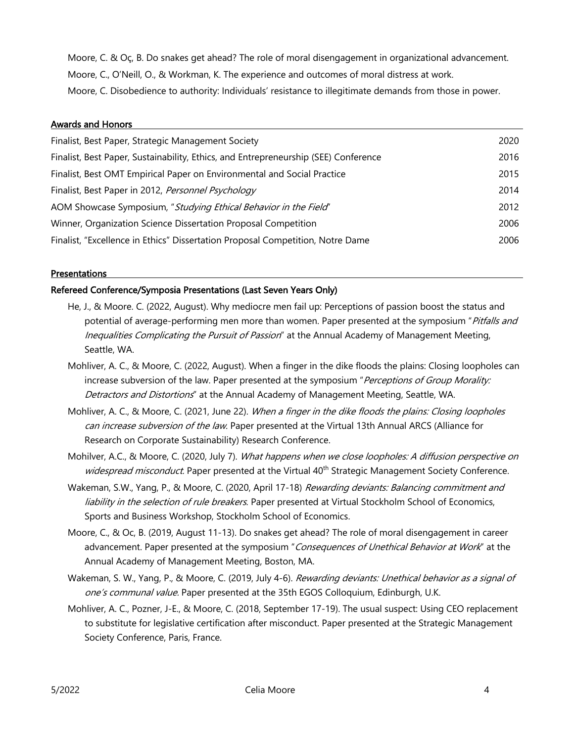Moore, C. & Oç, B. Do snakes get ahead? The role of moral disengagement in organizational advancement. Moore, C., O'Neill, O., & Workman, K. The experience and outcomes of moral distress at work. Moore, C. Disobedience to authority: Individuals' resistance to illegitimate demands from those in power.

# Awards and Honors Finalist, Best Paper, Strategic Management Society 2020 Finalist, Best Paper, Sustainability, Ethics, and Entrepreneurship (SEE) Conference 2016 Finalist, Best OMT Empirical Paper on Environmental and Social Practice 2015 Finalist, Best Paper in 2012, *Personnel Psychology* 2014 AOM Showcase Symposium, "Studying Ethical Behavior in the Field" 2012 Winner, Organization Science Dissertation Proposal Competition 2006 Finalist, "Excellence in Ethics" Dissertation Proposal Competition, Notre Dame 2006

# **Presentations**

# Refereed Conference/Symposia Presentations (Last Seven Years Only)

- He, J., & Moore. C. (2022, August). Why mediocre men fail up: Perceptions of passion boost the status and potential of average-performing men more than women. Paper presented at the symposium "Pitfalls and Inequalities Complicating the Pursuit of Passion" at the Annual Academy of Management Meeting, Seattle, WA.
- Mohliver, A. C., & Moore, C. (2022, August). When a finger in the dike floods the plains: Closing loopholes can increase subversion of the law. Paper presented at the symposium "Perceptions of Group Morality: Detractors and Distortions" at the Annual Academy of Management Meeting, Seattle, WA.
- Mohliver, A. C., & Moore, C. (2021, June 22). When a finger in the dike floods the plains: Closing loopholes can increase subversion of the law. Paper presented at the Virtual 13th Annual ARCS (Alliance for Research on Corporate Sustainability) Research Conference.
- Mohilver, A.C., & Moore, C. (2020, July 7). What happens when we close loopholes: A diffusion perspective on widespread misconduct. Paper presented at the Virtual 40<sup>th</sup> Strategic Management Society Conference.
- Wakeman, S.W., Yang, P., & Moore, C. (2020, April 17-18) Rewarding deviants: Balancing commitment and liability in the selection of rule breakers. Paper presented at Virtual Stockholm School of Economics, Sports and Business Workshop, Stockholm School of Economics.
- Moore, C., & Oc, B. (2019, August 11-13). Do snakes get ahead? The role of moral disengagement in career advancement. Paper presented at the symposium "Consequences of Unethical Behavior at Work" at the Annual Academy of Management Meeting, Boston, MA.
- Wakeman, S. W., Yang, P., & Moore, C. (2019, July 4-6). Rewarding deviants: Unethical behavior as a signal of one's communal value. Paper presented at the 35th EGOS Colloquium, Edinburgh, U.K.
- Mohliver, A. C., Pozner, J-E., & Moore, C. (2018, September 17-19). The usual suspect: Using CEO replacement to substitute for legislative certification after misconduct. Paper presented at the Strategic Management Society Conference, Paris, France.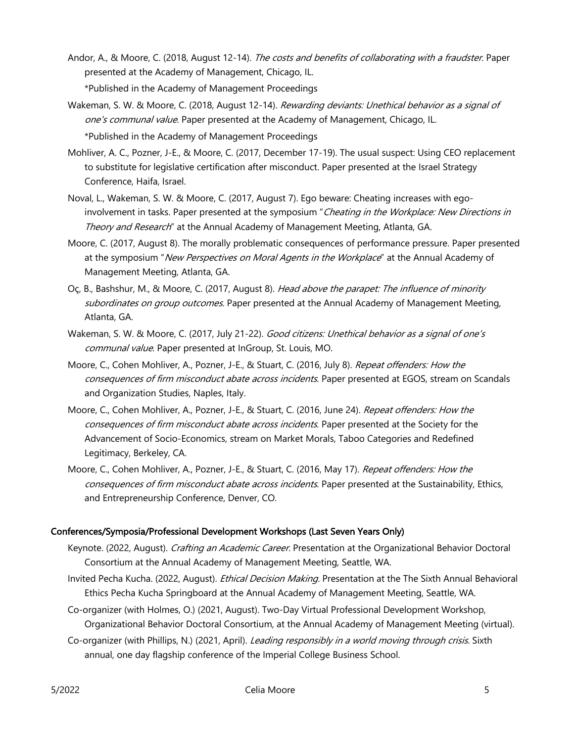Andor, A., & Moore, C. (2018, August 12-14). The costs and benefits of collaborating with a fraudster. Paper presented at the Academy of Management, Chicago, IL.

\*Published in the Academy of Management Proceedings

- Wakeman, S. W. & Moore, C. (2018, August 12-14). Rewarding deviants: Unethical behavior as a signal of one's communal value. Paper presented at the Academy of Management, Chicago, IL. \*Published in the Academy of Management Proceedings
- Mohliver, A. C., Pozner, J-E., & Moore, C. (2017, December 17-19). The usual suspect: Using CEO replacement to substitute for legislative certification after misconduct. Paper presented at the Israel Strategy Conference, Haifa, Israel.
- Noval, L., Wakeman, S. W. & Moore, C. (2017, August 7). Ego beware: Cheating increases with egoinvolvement in tasks. Paper presented at the symposium "Cheating in the Workplace: New Directions in Theory and Research" at the Annual Academy of Management Meeting, Atlanta, GA.
- Moore, C. (2017, August 8). The morally problematic consequences of performance pressure. Paper presented at the symposium "New Perspectives on Moral Agents in the Workplace" at the Annual Academy of Management Meeting, Atlanta, GA.
- Oc, B., Bashshur, M., & Moore, C. (2017, August 8). Head above the parapet: The influence of minority subordinates on group outcomes. Paper presented at the Annual Academy of Management Meeting, Atlanta, GA.
- Wakeman, S. W. & Moore, C. (2017, July 21-22). Good citizens: Unethical behavior as a signal of one's communal value. Paper presented at InGroup, St. Louis, MO.
- Moore, C., Cohen Mohliver, A., Pozner, J-E., & Stuart, C. (2016, July 8). Repeat offenders: How the consequences of firm misconduct abate across incidents. Paper presented at EGOS, stream on Scandals and Organization Studies, Naples, Italy.
- Moore, C., Cohen Mohliver, A., Pozner, J-E., & Stuart, C. (2016, June 24). Repeat offenders: How the consequences of firm misconduct abate across incidents. Paper presented at the Society for the Advancement of Socio-Economics, stream on Market Morals, Taboo Categories and Redefined Legitimacy, Berkeley, CA.
- Moore, C., Cohen Mohliver, A., Pozner, J-E., & Stuart, C. (2016, May 17). Repeat offenders: How the consequences of firm misconduct abate across incidents. Paper presented at the Sustainability, Ethics, and Entrepreneurship Conference, Denver, CO.

#### Conferences/Symposia/Professional Development Workshops (Last Seven Years Only)

- Keynote. (2022, August). *Crafting an Academic Career*. Presentation at the Organizational Behavior Doctoral Consortium at the Annual Academy of Management Meeting, Seattle, WA.
- Invited Pecha Kucha. (2022, August). *Ethical Decision Making*. Presentation at the The Sixth Annual Behavioral Ethics Pecha Kucha Springboard at the Annual Academy of Management Meeting, Seattle, WA.
- Co-organizer (with Holmes, O.) (2021, August). Two-Day Virtual Professional Development Workshop, Organizational Behavior Doctoral Consortium, at the Annual Academy of Management Meeting (virtual).
- Co-organizer (with Phillips, N.) (2021, April). *Leading responsibly in a world moving through crisis*. Sixth annual, one day flagship conference of the Imperial College Business School.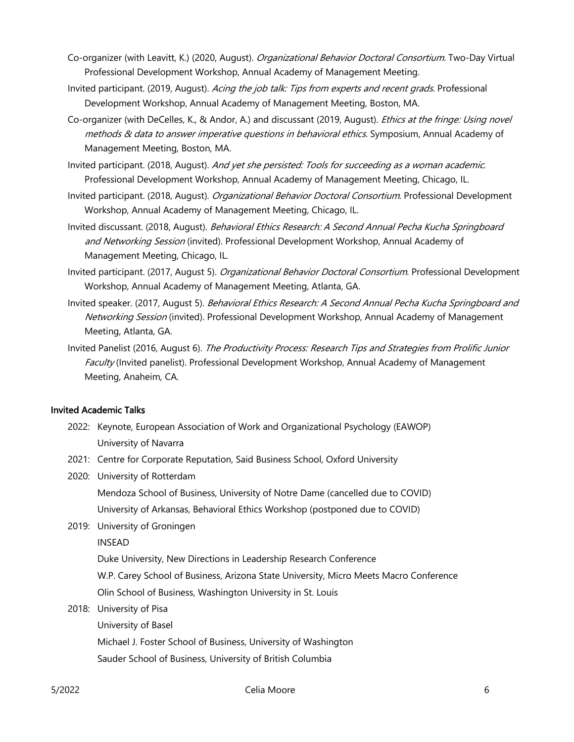- Co-organizer (with Leavitt, K.) (2020, August). Organizational Behavior Doctoral Consortium. Two-Day Virtual Professional Development Workshop, Annual Academy of Management Meeting.
- Invited participant. (2019, August). Acing the job talk: Tips from experts and recent grads. Professional Development Workshop, Annual Academy of Management Meeting, Boston, MA.
- Co-organizer (with DeCelles, K., & Andor, A.) and discussant (2019, August). Ethics at the fringe: Using novel methods & data to answer imperative questions in behavioral ethics. Symposium, Annual Academy of Management Meeting, Boston, MA.
- Invited participant. (2018, August). And yet she persisted: Tools for succeeding as a woman academic. Professional Development Workshop, Annual Academy of Management Meeting, Chicago, IL.
- Invited participant. (2018, August). *Organizational Behavior Doctoral Consortium*. Professional Development Workshop, Annual Academy of Management Meeting, Chicago, IL.
- Invited discussant. (2018, August). Behavioral Ethics Research: A Second Annual Pecha Kucha Springboard and Networking Session (invited). Professional Development Workshop, Annual Academy of Management Meeting, Chicago, IL.
- Invited participant. (2017, August 5). Organizational Behavior Doctoral Consortium. Professional Development Workshop, Annual Academy of Management Meeting, Atlanta, GA.
- Invited speaker. (2017, August 5). Behavioral Ethics Research: A Second Annual Pecha Kucha Springboard and Networking Session (invited). Professional Development Workshop, Annual Academy of Management Meeting, Atlanta, GA.
- Invited Panelist (2016, August 6). The Productivity Process: Research Tips and Strategies from Prolific Junior Faculty (Invited panelist). Professional Development Workshop, Annual Academy of Management Meeting, Anaheim, CA.

# Invited Academic Talks

- 2022: Keynote, European Association of Work and Organizational Psychology (EAWOP) University of Navarra
- 2021: Centre for Corporate Reputation, Said Business School, Oxford University
- 2020: University of Rotterdam

Mendoza School of Business, University of Notre Dame (cancelled due to COVID) University of Arkansas, Behavioral Ethics Workshop (postponed due to COVID)

2019: University of Groningen

INSEAD

Duke University, New Directions in Leadership Research Conference

W.P. Carey School of Business, Arizona State University, Micro Meets Macro Conference

Olin School of Business, Washington University in St. Louis

- 2018: University of Pisa
	- University of Basel

Michael J. Foster School of Business, University of Washington

Sauder School of Business, University of British Columbia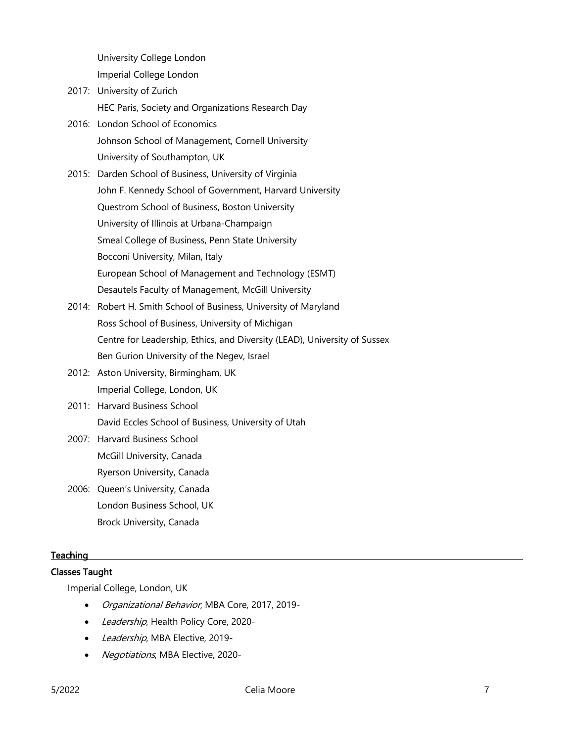University College London

Imperial College London

- 2017: University of Zurich HEC Paris, Society and Organizations Research Day
- 2016: London School of Economics Johnson School of Management, Cornell University University of Southampton, UK
- 2015: Darden School of Business, University of Virginia John F. Kennedy School of Government, Harvard University Questrom School of Business, Boston University University of Illinois at Urbana-Champaign Smeal College of Business, Penn State University Bocconi University, Milan, Italy European School of Management and Technology (ESMT) Desautels Faculty of Management, McGill University
- 2014: Robert H. Smith School of Business, University of Maryland Ross School of Business, University of Michigan Centre for Leadership, Ethics, and Diversity (LEAD), University of Sussex Ben Gurion University of the Negev, Israel
- 2012: Aston University, Birmingham, UK Imperial College, London, UK
- 2011: Harvard Business School David Eccles School of Business, University of Utah
- 2007: Harvard Business School McGill University, Canada Ryerson University, Canada
- 2006: Queen's University, Canada London Business School, UK Brock University, Canada

# **Teaching**

# Classes Taught

Imperial College, London, UK

- Organizational Behavior, MBA Core, 2017, 2019-
- Leadership, Health Policy Core, 2020-
- Leadership, MBA Elective, 2019-
- Negotiations, MBA Elective, 2020-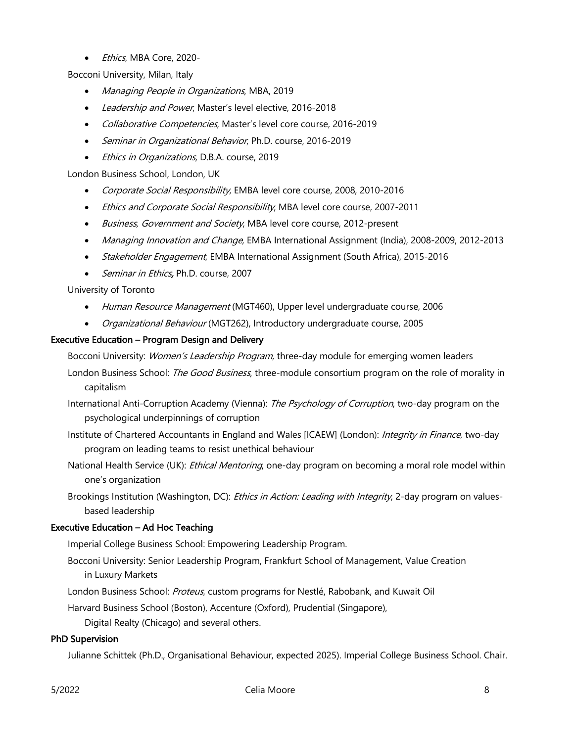• *Ethics*, MBA Core, 2020-

Bocconi University, Milan, Italy

- Managing People in Organizations, MBA, 2019
- Leadership and Power, Master's level elective, 2016-2018
- Collaborative Competencies, Master's level core course, 2016-2019
- Seminar in Organizational Behavior, Ph.D. course, 2016-2019
- *Ethics in Organizations*, D.B.A. course, 2019

London Business School, London, UK

- Corporate Social Responsibility, EMBA level core course, 2008, 2010-2016
- Ethics and Corporate Social Responsibility, MBA level core course, 2007-2011
- Business, Government and Society, MBA level core course, 2012-present
- Managing Innovation and Change, EMBA International Assignment (India), 2008-2009, 2012-2013
- Stakeholder Engagement, EMBA International Assignment (South Africa), 2015-2016
- Seminar in Ethics, Ph.D. course, 2007

University of Toronto

- Human Resource Management (MGT460), Upper level undergraduate course, 2006
- Organizational Behaviour (MGT262), Introductory undergraduate course, 2005

#### Executive Education – Program Design and Delivery

Bocconi University: *Women's Leadership Program*, three-day module for emerging women leaders

- London Business School: *The Good Business*, three-module consortium program on the role of morality in capitalism
- International Anti-Corruption Academy (Vienna): The Psychology of Corruption, two-day program on the psychological underpinnings of corruption
- Institute of Chartered Accountants in England and Wales [ICAEW] (London): Integrity in Finance, two-day program on leading teams to resist unethical behaviour
- National Health Service (UK): *Ethical Mentoring*, one-day program on becoming a moral role model within one's organization
- Brookings Institution (Washington, DC): *Ethics in Action: Leading with Integrity*, 2-day program on valuesbased leadership

# Executive Education – Ad Hoc Teaching

Imperial College Business School: Empowering Leadership Program.

- Bocconi University: Senior Leadership Program, Frankfurt School of Management, Value Creation in Luxury Markets
- London Business School: Proteus, custom programs for Nestlé, Rabobank, and Kuwait Oil

Harvard Business School (Boston), Accenture (Oxford), Prudential (Singapore),

Digital Realty (Chicago) and several others.

# PhD Supervision

Julianne Schittek (Ph.D., Organisational Behaviour, expected 2025). Imperial College Business School. Chair.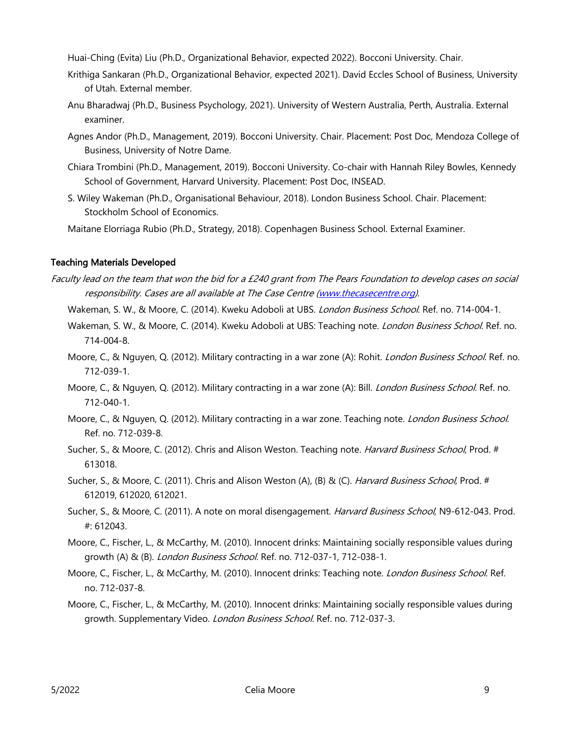Huai-Ching (Evita) Liu (Ph.D., Organizational Behavior, expected 2022). Bocconi University. Chair.

- Krithiga Sankaran (Ph.D., Organizational Behavior, expected 2021). David Eccles School of Business, University of Utah. External member.
- Anu Bharadwaj (Ph.D., Business Psychology, 2021). University of Western Australia, Perth, Australia. External examiner.
- Agnes Andor (Ph.D., Management, 2019). Bocconi University. Chair. Placement: Post Doc, Mendoza College of Business, University of Notre Dame.
- Chiara Trombini (Ph.D., Management, 2019). Bocconi University. Co-chair with Hannah Riley Bowles, Kennedy School of Government, Harvard University. Placement: Post Doc, INSEAD.
- S. Wiley Wakeman (Ph.D., Organisational Behaviour, 2018). London Business School. Chair. Placement: Stockholm School of Economics.

Maitane Elorriaga Rubio (Ph.D., Strategy, 2018). Copenhagen Business School. External Examiner.

# Teaching Materials Developed

- Faculty lead on the team that won the bid for a £240 grant from The Pears Foundation to develop cases on social responsibility. Cases are all available at The Case Centre (www.thecasecentre.org).
	- Wakeman, S. W., & Moore, C. (2014). Kweku Adoboli at UBS. London Business School. Ref. no. 714-004-1.
	- Wakeman, S. W., & Moore, C. (2014). Kweku Adoboli at UBS: Teaching note. *London Business School*. Ref. no. 714-004-8.
	- Moore, C., & Nguyen, Q. (2012). Military contracting in a war zone (A): Rohit. *London Business School.* Ref. no. 712-039-1.
	- Moore, C., & Nguyen, Q. (2012). Military contracting in a war zone (A): Bill. *London Business School.* Ref. no. 712-040-1.
	- Moore, C., & Nguyen, Q. (2012). Military contracting in a war zone. Teaching note. *London Business School.* Ref. no. 712-039-8.
	- Sucher, S., & Moore, C. (2012). Chris and Alison Weston. Teaching note. *Harvard Business School*, Prod. # 613018.
	- Sucher, S., & Moore, C. (2011). Chris and Alison Weston (A), (B) & (C). Harvard Business School, Prod. # 612019, 612020, 612021.
	- Sucher, S., & Moore, C. (2011). A note on moral disengagement. Harvard Business School, N9-612-043. Prod. #: 612043.
	- Moore, C., Fischer, L., & McCarthy, M. (2010). Innocent drinks: Maintaining socially responsible values during growth (A) & (B). London Business School. Ref. no. 712-037-1, 712-038-1.
	- Moore, C., Fischer, L., & McCarthy, M. (2010). Innocent drinks: Teaching note. London Business School. Ref. no. 712-037-8.
	- Moore, C., Fischer, L., & McCarthy, M. (2010). Innocent drinks: Maintaining socially responsible values during growth. Supplementary Video. London Business School. Ref. no. 712-037-3.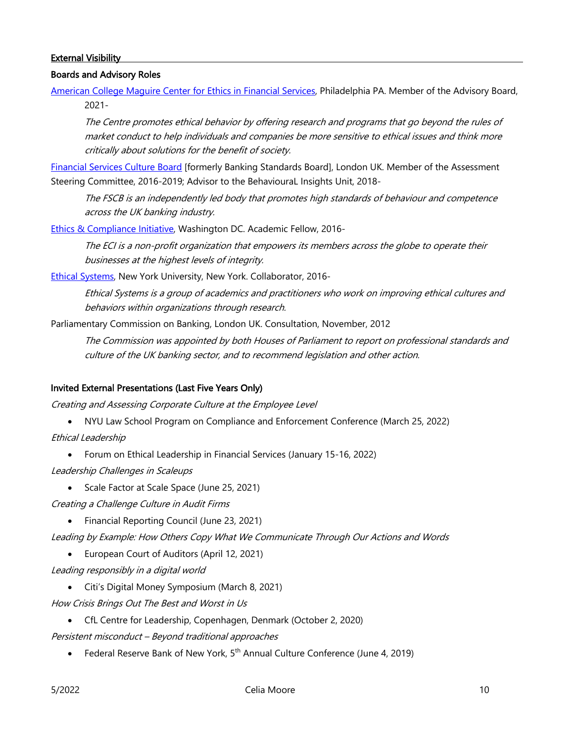# **External Visibility**

#### Boards and Advisory Roles

American College Maguire Center for Ethics in Financial Services, Philadelphia PA. Member of the Advisory Board, 2021-

The Centre promotes ethical behavior by offering research and programs that go beyond the rules of market conduct to help individuals and companies be more sensitive to ethical issues and think more critically about solutions for the benefit of society.

Financial Services Culture Board [formerly Banking Standards Board], London UK. Member of the Assessment Steering Committee, 2016-2019; Advisor to the BehaviouraL Insights Unit, 2018-

The FSCB is an independently led body that promotes high standards of behaviour and competence across the UK banking industry.

Ethics & Compliance Initiative, Washington DC. Academic Fellow, 2016-

The ECI is a non-profit organization that empowers its members across the globe to operate their businesses at the highest levels of integrity.

Ethical Systems, New York University, New York. Collaborator, 2016-

Ethical Systems is a group of academics and practitioners who work on improving ethical cultures and behaviors within organizations through research.

Parliamentary Commission on Banking, London UK. Consultation, November, 2012

The Commission was appointed by both Houses of Parliament to report on professional standards and culture of the UK banking sector, and to recommend legislation and other action.

#### Invited External Presentations (Last Five Years Only)

Creating and Assessing Corporate Culture at the Employee Level

- NYU Law School Program on Compliance and Enforcement Conference (March 25, 2022)
- Ethical Leadership
	- Forum on Ethical Leadership in Financial Services (January 15-16, 2022)
- Leadership Challenges in Scaleups
	- Scale Factor at Scale Space (June 25, 2021)

Creating a Challenge Culture in Audit Firms

• Financial Reporting Council (June 23, 2021)

Leading by Example: How Others Copy What We Communicate Through Our Actions and Words

- European Court of Auditors (April 12, 2021)
- Leading responsibly in a digital world
	- Citi's Digital Money Symposium (March 8, 2021)
- How Crisis Brings Out The Best and Worst in Us
	- CfL Centre for Leadership, Copenhagen, Denmark (October 2, 2020)

Persistent misconduct – Beyond traditional approaches

• Federal Reserve Bank of New York, 5<sup>th</sup> Annual Culture Conference (June 4, 2019)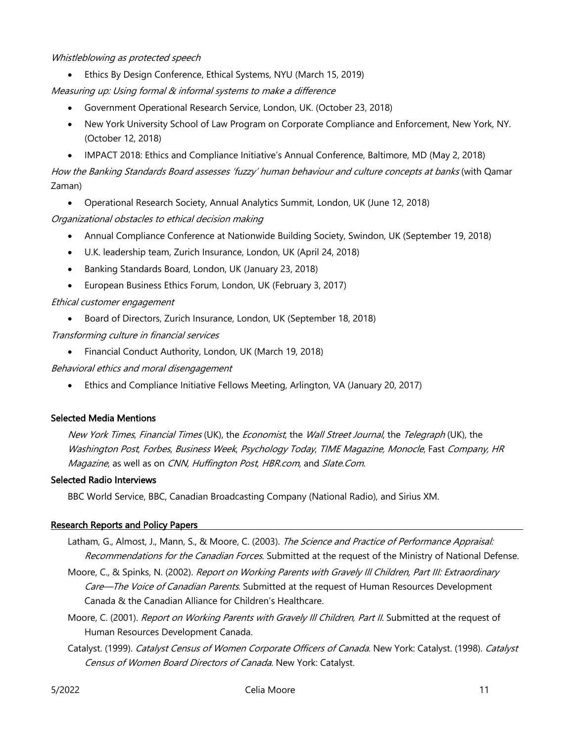#### Whistleblowing as protected speech

• Ethics By Design Conference, Ethical Systems, NYU (March 15, 2019)

Measuring up: Using formal & informal systems to make a difference

- Government Operational Research Service, London, UK. (October 23, 2018)
- New York University School of Law Program on Corporate Compliance and Enforcement, New York, NY. (October 12, 2018)
- IMPACT 2018: Ethics and Compliance Initiative's Annual Conference, Baltimore, MD (May 2, 2018)

How the Banking Standards Board assesses 'fuzzy' human behaviour and culture concepts at banks (with Qamar Zaman)

• Operational Research Society, Annual Analytics Summit, London, UK (June 12, 2018)

# Organizational obstacles to ethical decision making

- Annual Compliance Conference at Nationwide Building Society, Swindon, UK (September 19, 2018)
- U.K. leadership team, Zurich Insurance, London, UK (April 24, 2018)
- Banking Standards Board, London, UK (January 23, 2018)
- European Business Ethics Forum, London, UK (February 3, 2017)

# Ethical customer engagement

• Board of Directors, Zurich Insurance, London, UK (September 18, 2018)

# Transforming culture in financial services

• Financial Conduct Authority, London, UK (March 19, 2018)

#### Behavioral ethics and moral disengagement

• Ethics and Compliance Initiative Fellows Meeting, Arlington, VA (January 20, 2017)

#### Selected Media Mentions

New York Times, Financial Times (UK), the Economist, the Wall Street Journal, the Telegraph (UK), the Washington Post, Forbes, Business Week, Psychology Today, TIME Magazine, Monocle, Fast Company, HR Magazine, as well as on CNN, Huffington Post, HBR.com, and Slate.Com.

#### Selected Radio Interviews

BBC World Service, BBC, Canadian Broadcasting Company (National Radio), and Sirius XM.

#### Research Reports and Policy Papers

- Latham, G., Almost, J., Mann, S., & Moore, C. (2003). The Science and Practice of Performance Appraisal: Recommendations for the Canadian Forces. Submitted at the request of the Ministry of National Defense.
- Moore, C., & Spinks, N. (2002). Report on Working Parents with Gravely III Children, Part III: Extraordinary Care-The Voice of Canadian Parents. Submitted at the request of Human Resources Development Canada & the Canadian Alliance for Children's Healthcare.
- Moore, C. (2001). Report on Working Parents with Gravely III Children, Part II. Submitted at the request of Human Resources Development Canada.
- Catalyst. (1999). Catalyst Census of Women Corporate Officers of Canada. New York: Catalyst. (1998). Catalyst Census of Women Board Directors of Canada. New York: Catalyst.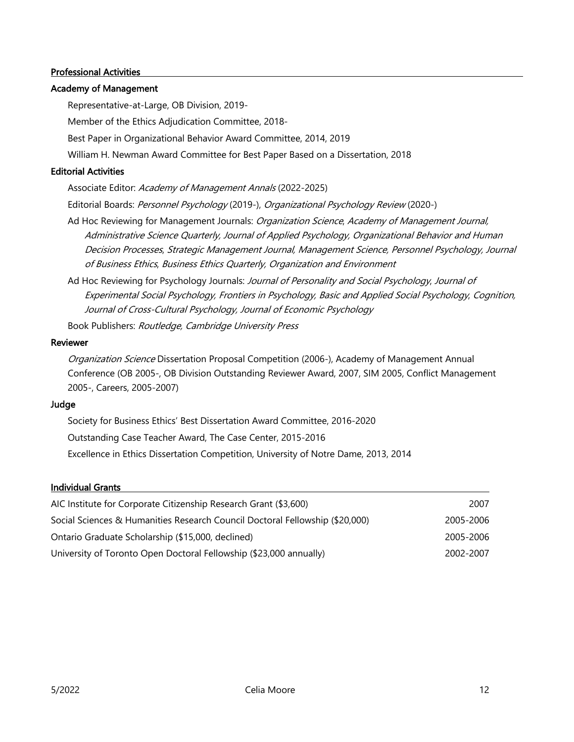# Professional Activities

# Academy of Management

Representative-at-Large, OB Division, 2019-

Member of the Ethics Adjudication Committee, 2018-

Best Paper in Organizational Behavior Award Committee, 2014, 2019

William H. Newman Award Committee for Best Paper Based on a Dissertation, 2018

#### Editorial Activities

Associate Editor: Academy of Management Annals (2022-2025)

Editorial Boards: Personnel Psychology (2019-), Organizational Psychology Review (2020-)

- Ad Hoc Reviewing for Management Journals: Organization Science, Academy of Management Journal, Administrative Science Quarterly, Journal of Applied Psychology, Organizational Behavior and Human Decision Processes, Strategic Management Journal, Management Science, Personnel Psychology, Journal of Business Ethics, Business Ethics Quarterly, Organization and Environment
- Ad Hoc Reviewing for Psychology Journals: Journal of Personality and Social Psychology, Journal of Experimental Social Psychology, Frontiers in Psychology, Basic and Applied Social Psychology, Cognition, Journal of Cross-Cultural Psychology, Journal of Economic Psychology

Book Publishers: Routledge, Cambridge University Press

#### Reviewer

Organization Science Dissertation Proposal Competition (2006-), Academy of Management Annual Conference (OB 2005-, OB Division Outstanding Reviewer Award, 2007, SIM 2005, Conflict Management 2005-, Careers, 2005-2007)

#### Judge

Society for Business Ethics' Best Dissertation Award Committee, 2016-2020 Outstanding Case Teacher Award, The Case Center, 2015-2016 Excellence in Ethics Dissertation Competition, University of Notre Dame, 2013, 2014

#### Individual Grants

| AIC Institute for Corporate Citizenship Research Grant (\$3,600)             | 2007      |
|------------------------------------------------------------------------------|-----------|
| Social Sciences & Humanities Research Council Doctoral Fellowship (\$20,000) | 2005-2006 |
| Ontario Graduate Scholarship (\$15,000, declined)                            | 2005-2006 |
| University of Toronto Open Doctoral Fellowship (\$23,000 annually)           | 2002-2007 |